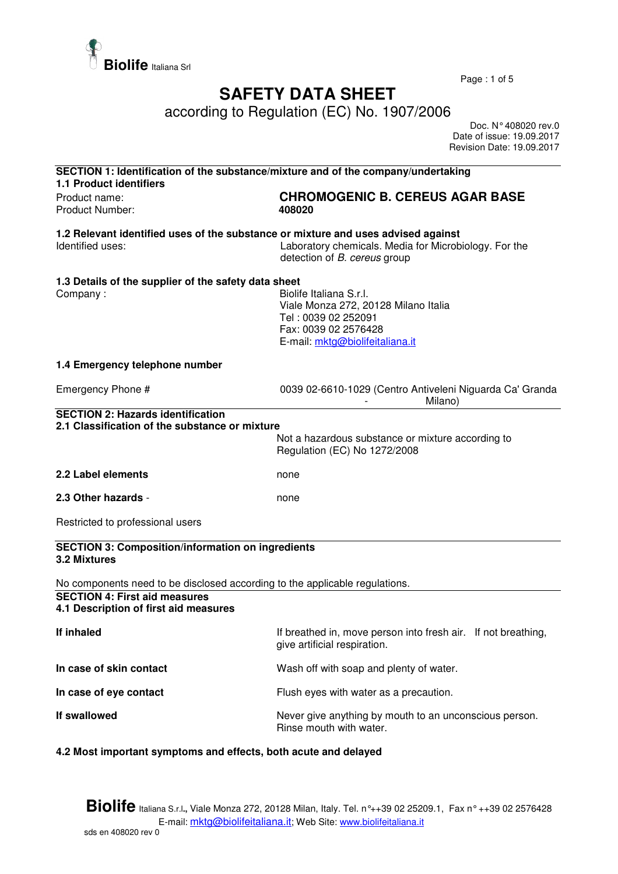

Page : 1 of 5

## **SAFETY DATA SHEET**

according to Regulation (EC) No. 1907/2006

 Doc. N° 408020 rev.0 Date of issue: 19.09.2017 Revision Date: 19.09.2017

| SECTION 1: Identification of the substance/mixture and of the company/undertaking<br><b>1.1 Product identifiers</b> |                                                                                                                                                   |  |
|---------------------------------------------------------------------------------------------------------------------|---------------------------------------------------------------------------------------------------------------------------------------------------|--|
| Product name:<br>Product Number:                                                                                    | <b>CHROMOGENIC B. CEREUS AGAR BASE</b><br>408020                                                                                                  |  |
| 1.2 Relevant identified uses of the substance or mixture and uses advised against<br>Identified uses:               | Laboratory chemicals. Media for Microbiology. For the<br>detection of B. cereus group                                                             |  |
| 1.3 Details of the supplier of the safety data sheet<br>Company:                                                    | Biolife Italiana S.r.l.<br>Viale Monza 272, 20128 Milano Italia<br>Tel: 0039 02 252091<br>Fax: 0039 02 2576428<br>E-mail: mktg@biolifeitaliana.it |  |
| 1.4 Emergency telephone number                                                                                      |                                                                                                                                                   |  |
| Emergency Phone #                                                                                                   | 0039 02-6610-1029 (Centro Antiveleni Niguarda Ca' Granda<br>Milano)                                                                               |  |
| <b>SECTION 2: Hazards identification</b><br>2.1 Classification of the substance or mixture                          | Not a hazardous substance or mixture according to<br>Regulation (EC) No 1272/2008                                                                 |  |
| 2.2 Label elements                                                                                                  | none                                                                                                                                              |  |
| 2.3 Other hazards -                                                                                                 | none                                                                                                                                              |  |
| Restricted to professional users                                                                                    |                                                                                                                                                   |  |
| <b>SECTION 3: Composition/information on ingredients</b><br>3.2 Mixtures                                            |                                                                                                                                                   |  |
| No components need to be disclosed according to the applicable regulations.                                         |                                                                                                                                                   |  |
| <b>SECTION 4: First aid measures</b><br>4.1 Description of first aid measures                                       |                                                                                                                                                   |  |
| If inhaled                                                                                                          | If breathed in, move person into fresh air. If not breathing,<br>give artificial respiration.                                                     |  |
| In case of skin contact                                                                                             | Wash off with soap and plenty of water.                                                                                                           |  |
| In case of eye contact                                                                                              | Flush eyes with water as a precaution.                                                                                                            |  |
| If swallowed                                                                                                        | Never give anything by mouth to an unconscious person.<br>Rinse mouth with water.                                                                 |  |
| 4.2 Most important symptoms and effects, both acute and delayed                                                     |                                                                                                                                                   |  |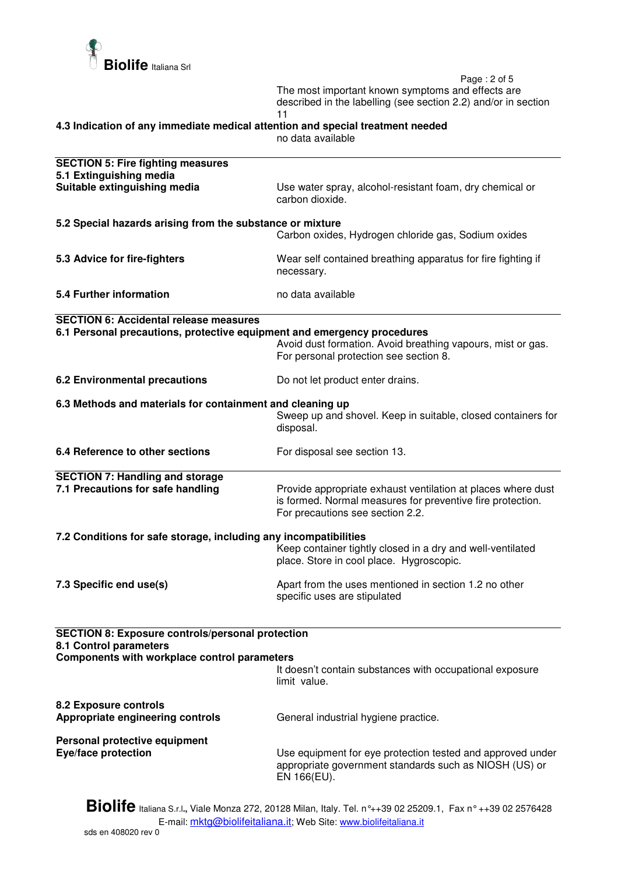

 Page : 2 of 5 The most important known symptoms and effects are described in the labelling (see section 2.2) and/or in section 11

**4.3 Indication of any immediate medical attention and special treatment needed** 

no data available

| <b>SECTION 5: Fire fighting measures</b><br>5.1 Extinguishing media                                                                      |                                                                                                                                                                |  |
|------------------------------------------------------------------------------------------------------------------------------------------|----------------------------------------------------------------------------------------------------------------------------------------------------------------|--|
| Suitable extinguishing media                                                                                                             | Use water spray, alcohol-resistant foam, dry chemical or<br>carbon dioxide.                                                                                    |  |
| 5.2 Special hazards arising from the substance or mixture<br>Carbon oxides, Hydrogen chloride gas, Sodium oxides                         |                                                                                                                                                                |  |
|                                                                                                                                          |                                                                                                                                                                |  |
| 5.3 Advice for fire-fighters                                                                                                             | Wear self contained breathing apparatus for fire fighting if<br>necessary.                                                                                     |  |
| <b>5.4 Further information</b>                                                                                                           | no data available                                                                                                                                              |  |
| <b>SECTION 6: Accidental release measures</b>                                                                                            |                                                                                                                                                                |  |
| 6.1 Personal precautions, protective equipment and emergency procedures                                                                  | Avoid dust formation. Avoid breathing vapours, mist or gas.<br>For personal protection see section 8.                                                          |  |
| <b>6.2 Environmental precautions</b>                                                                                                     | Do not let product enter drains.                                                                                                                               |  |
| 6.3 Methods and materials for containment and cleaning up                                                                                |                                                                                                                                                                |  |
|                                                                                                                                          | Sweep up and shovel. Keep in suitable, closed containers for<br>disposal.                                                                                      |  |
| 6.4 Reference to other sections                                                                                                          | For disposal see section 13.                                                                                                                                   |  |
| <b>SECTION 7: Handling and storage</b>                                                                                                   |                                                                                                                                                                |  |
| 7.1 Precautions for safe handling                                                                                                        | Provide appropriate exhaust ventilation at places where dust<br>is formed. Normal measures for preventive fire protection.<br>For precautions see section 2.2. |  |
| 7.2 Conditions for safe storage, including any incompatibilities                                                                         |                                                                                                                                                                |  |
|                                                                                                                                          | Keep container tightly closed in a dry and well-ventilated<br>place. Store in cool place. Hygroscopic.                                                         |  |
| 7.3 Specific end use(s)                                                                                                                  | Apart from the uses mentioned in section 1.2 no other<br>specific uses are stipulated                                                                          |  |
|                                                                                                                                          |                                                                                                                                                                |  |
| <b>SECTION 8: Exposure controls/personal protection</b><br>8.1 Control parameters<br><b>Components with workplace control parameters</b> |                                                                                                                                                                |  |
|                                                                                                                                          | It doesn't contain substances with occupational exposure<br>limit value.                                                                                       |  |
| <b>8.2 Exposure controls</b><br>Appropriate engineering controls                                                                         | General industrial hygiene practice.                                                                                                                           |  |
| Personal protective equipment                                                                                                            |                                                                                                                                                                |  |
| <b>Eye/face protection</b>                                                                                                               | Use equipment for eye protection tested and approved under<br>appropriate government standards such as NIOSH (US) or<br>EN 166(EU).                            |  |
| .                                                                                                                                        |                                                                                                                                                                |  |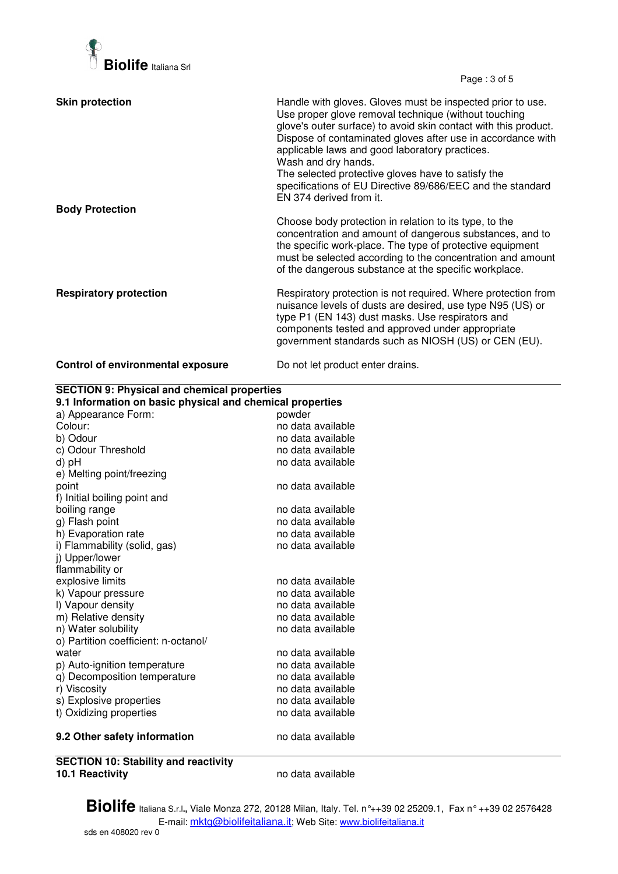

Page : 3 of 5

| <b>Skin protection</b>                   | Handle with gloves. Gloves must be inspected prior to use.<br>Use proper glove removal technique (without touching<br>glove's outer surface) to avoid skin contact with this product.<br>Dispose of contaminated gloves after use in accordance with<br>applicable laws and good laboratory practices.<br>Wash and dry hands.<br>The selected protective gloves have to satisfy the<br>specifications of EU Directive 89/686/EEC and the standard<br>EN 374 derived from it. |
|------------------------------------------|------------------------------------------------------------------------------------------------------------------------------------------------------------------------------------------------------------------------------------------------------------------------------------------------------------------------------------------------------------------------------------------------------------------------------------------------------------------------------|
| <b>Body Protection</b>                   | Choose body protection in relation to its type, to the<br>concentration and amount of dangerous substances, and to<br>the specific work-place. The type of protective equipment<br>must be selected according to the concentration and amount<br>of the dangerous substance at the specific workplace.                                                                                                                                                                       |
| <b>Respiratory protection</b>            | Respiratory protection is not required. Where protection from<br>nuisance levels of dusts are desired, use type N95 (US) or<br>type P1 (EN 143) dust masks. Use respirators and<br>components tested and approved under appropriate<br>government standards such as NIOSH (US) or CEN (EU).                                                                                                                                                                                  |
| <b>Control of environmental exposure</b> | Do not let product enter drains.                                                                                                                                                                                                                                                                                                                                                                                                                                             |

| a) Appearance Form:<br>powder<br>Colour:<br>no data available<br>b) Odour<br>no data available<br>c) Odour Threshold<br>no data available<br>no data available<br>d) pH<br>e) Melting point/freezing<br>no data available<br>point<br>f) Initial boiling point and<br>boiling range<br>no data available<br>g) Flash point<br>no data available<br>h) Evaporation rate<br>no data available<br>i) Flammability (solid, gas)<br>no data available<br>j) Upper/lower<br>flammability or<br>explosive limits<br>no data available<br>k) Vapour pressure<br>no data available<br>I) Vapour density<br>no data available<br>m) Relative density<br>no data available<br>n) Water solubility<br>no data available<br>o) Partition coefficient: n-octanol/<br>no data available<br>water<br>p) Auto-ignition temperature<br>no data available<br>q) Decomposition temperature<br>no data available<br>r) Viscosity<br>no data available<br>s) Explosive properties<br>no data available<br>t) Oxidizing properties<br>no data available | <b>SECTION 9: Physical and chemical properties</b><br>9.1 Information on basic physical and chemical properties |  |  |
|----------------------------------------------------------------------------------------------------------------------------------------------------------------------------------------------------------------------------------------------------------------------------------------------------------------------------------------------------------------------------------------------------------------------------------------------------------------------------------------------------------------------------------------------------------------------------------------------------------------------------------------------------------------------------------------------------------------------------------------------------------------------------------------------------------------------------------------------------------------------------------------------------------------------------------------------------------------------------------------------------------------------------------|-----------------------------------------------------------------------------------------------------------------|--|--|
|                                                                                                                                                                                                                                                                                                                                                                                                                                                                                                                                                                                                                                                                                                                                                                                                                                                                                                                                                                                                                                  |                                                                                                                 |  |  |
|                                                                                                                                                                                                                                                                                                                                                                                                                                                                                                                                                                                                                                                                                                                                                                                                                                                                                                                                                                                                                                  |                                                                                                                 |  |  |
|                                                                                                                                                                                                                                                                                                                                                                                                                                                                                                                                                                                                                                                                                                                                                                                                                                                                                                                                                                                                                                  |                                                                                                                 |  |  |
|                                                                                                                                                                                                                                                                                                                                                                                                                                                                                                                                                                                                                                                                                                                                                                                                                                                                                                                                                                                                                                  |                                                                                                                 |  |  |
|                                                                                                                                                                                                                                                                                                                                                                                                                                                                                                                                                                                                                                                                                                                                                                                                                                                                                                                                                                                                                                  |                                                                                                                 |  |  |
|                                                                                                                                                                                                                                                                                                                                                                                                                                                                                                                                                                                                                                                                                                                                                                                                                                                                                                                                                                                                                                  |                                                                                                                 |  |  |
|                                                                                                                                                                                                                                                                                                                                                                                                                                                                                                                                                                                                                                                                                                                                                                                                                                                                                                                                                                                                                                  |                                                                                                                 |  |  |
|                                                                                                                                                                                                                                                                                                                                                                                                                                                                                                                                                                                                                                                                                                                                                                                                                                                                                                                                                                                                                                  |                                                                                                                 |  |  |
|                                                                                                                                                                                                                                                                                                                                                                                                                                                                                                                                                                                                                                                                                                                                                                                                                                                                                                                                                                                                                                  |                                                                                                                 |  |  |
|                                                                                                                                                                                                                                                                                                                                                                                                                                                                                                                                                                                                                                                                                                                                                                                                                                                                                                                                                                                                                                  |                                                                                                                 |  |  |
|                                                                                                                                                                                                                                                                                                                                                                                                                                                                                                                                                                                                                                                                                                                                                                                                                                                                                                                                                                                                                                  |                                                                                                                 |  |  |
|                                                                                                                                                                                                                                                                                                                                                                                                                                                                                                                                                                                                                                                                                                                                                                                                                                                                                                                                                                                                                                  |                                                                                                                 |  |  |
|                                                                                                                                                                                                                                                                                                                                                                                                                                                                                                                                                                                                                                                                                                                                                                                                                                                                                                                                                                                                                                  |                                                                                                                 |  |  |
|                                                                                                                                                                                                                                                                                                                                                                                                                                                                                                                                                                                                                                                                                                                                                                                                                                                                                                                                                                                                                                  |                                                                                                                 |  |  |
|                                                                                                                                                                                                                                                                                                                                                                                                                                                                                                                                                                                                                                                                                                                                                                                                                                                                                                                                                                                                                                  |                                                                                                                 |  |  |
|                                                                                                                                                                                                                                                                                                                                                                                                                                                                                                                                                                                                                                                                                                                                                                                                                                                                                                                                                                                                                                  |                                                                                                                 |  |  |
|                                                                                                                                                                                                                                                                                                                                                                                                                                                                                                                                                                                                                                                                                                                                                                                                                                                                                                                                                                                                                                  |                                                                                                                 |  |  |
|                                                                                                                                                                                                                                                                                                                                                                                                                                                                                                                                                                                                                                                                                                                                                                                                                                                                                                                                                                                                                                  |                                                                                                                 |  |  |
|                                                                                                                                                                                                                                                                                                                                                                                                                                                                                                                                                                                                                                                                                                                                                                                                                                                                                                                                                                                                                                  |                                                                                                                 |  |  |
|                                                                                                                                                                                                                                                                                                                                                                                                                                                                                                                                                                                                                                                                                                                                                                                                                                                                                                                                                                                                                                  |                                                                                                                 |  |  |
|                                                                                                                                                                                                                                                                                                                                                                                                                                                                                                                                                                                                                                                                                                                                                                                                                                                                                                                                                                                                                                  |                                                                                                                 |  |  |
|                                                                                                                                                                                                                                                                                                                                                                                                                                                                                                                                                                                                                                                                                                                                                                                                                                                                                                                                                                                                                                  |                                                                                                                 |  |  |
|                                                                                                                                                                                                                                                                                                                                                                                                                                                                                                                                                                                                                                                                                                                                                                                                                                                                                                                                                                                                                                  |                                                                                                                 |  |  |
|                                                                                                                                                                                                                                                                                                                                                                                                                                                                                                                                                                                                                                                                                                                                                                                                                                                                                                                                                                                                                                  |                                                                                                                 |  |  |
|                                                                                                                                                                                                                                                                                                                                                                                                                                                                                                                                                                                                                                                                                                                                                                                                                                                                                                                                                                                                                                  |                                                                                                                 |  |  |
|                                                                                                                                                                                                                                                                                                                                                                                                                                                                                                                                                                                                                                                                                                                                                                                                                                                                                                                                                                                                                                  |                                                                                                                 |  |  |
| no data available<br>9.2 Other safety information                                                                                                                                                                                                                                                                                                                                                                                                                                                                                                                                                                                                                                                                                                                                                                                                                                                                                                                                                                                |                                                                                                                 |  |  |

**SECTION 10: Stability and reactivity** 

**10.1 Reactivity** no data available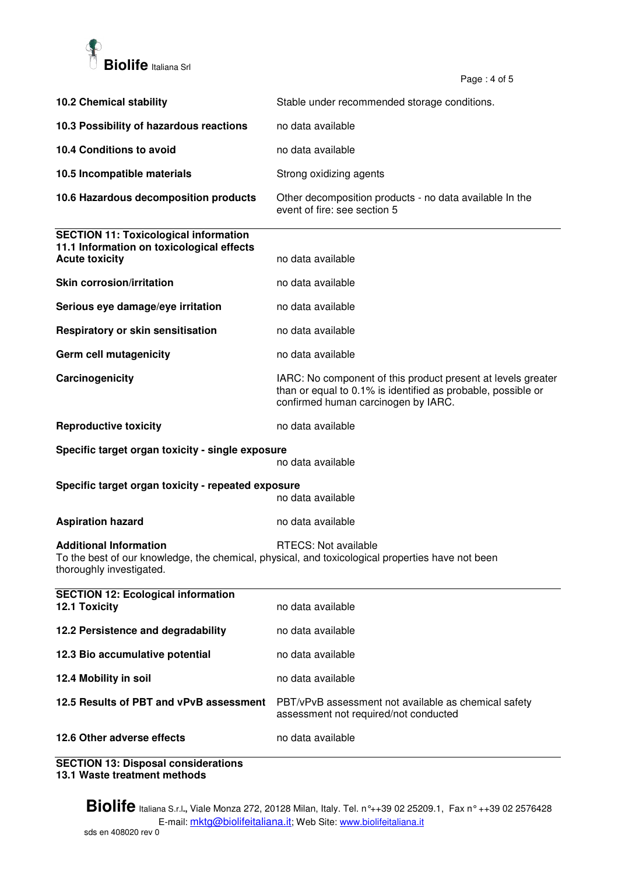

Page  $: 4$  of 5

|                                                                                                                    | ι α <u>υ</u> σ. <del>τ</del> υι υ                                                                                                                                   |
|--------------------------------------------------------------------------------------------------------------------|---------------------------------------------------------------------------------------------------------------------------------------------------------------------|
| <b>10.2 Chemical stability</b>                                                                                     | Stable under recommended storage conditions.                                                                                                                        |
| 10.3 Possibility of hazardous reactions                                                                            | no data available                                                                                                                                                   |
| 10.4 Conditions to avoid                                                                                           | no data available                                                                                                                                                   |
| 10.5 Incompatible materials                                                                                        | Strong oxidizing agents                                                                                                                                             |
| 10.6 Hazardous decomposition products                                                                              | Other decomposition products - no data available In the<br>event of fire: see section 5                                                                             |
| <b>SECTION 11: Toxicological information</b><br>11.1 Information on toxicological effects<br><b>Acute toxicity</b> | no data available                                                                                                                                                   |
| <b>Skin corrosion/irritation</b>                                                                                   | no data available                                                                                                                                                   |
| Serious eye damage/eye irritation                                                                                  | no data available                                                                                                                                                   |
| Respiratory or skin sensitisation                                                                                  | no data available                                                                                                                                                   |
| Germ cell mutagenicity                                                                                             | no data available                                                                                                                                                   |
| Carcinogenicity                                                                                                    | IARC: No component of this product present at levels greater<br>than or equal to 0.1% is identified as probable, possible or<br>confirmed human carcinogen by IARC. |
| <b>Reproductive toxicity</b>                                                                                       | no data available                                                                                                                                                   |
| Specific target organ toxicity - single exposure<br>no data available                                              |                                                                                                                                                                     |
| Specific target organ toxicity - repeated exposure<br>no data available                                            |                                                                                                                                                                     |
| <b>Aspiration hazard</b>                                                                                           | no data available                                                                                                                                                   |
| <b>Additional Information</b><br>thoroughly investigated.                                                          | RTECS: Not available<br>To the best of our knowledge, the chemical, physical, and toxicological properties have not been                                            |
| <b>SECTION 12: Ecological information</b><br>12.1 Toxicity                                                         | no data available                                                                                                                                                   |
| 12.2 Persistence and degradability                                                                                 | no data available                                                                                                                                                   |
| 12.3 Bio accumulative potential                                                                                    | no data available                                                                                                                                                   |
| 12.4 Mobility in soil                                                                                              | no data available                                                                                                                                                   |
| 12.5 Results of PBT and vPvB assessment                                                                            | PBT/vPvB assessment not available as chemical safety<br>assessment not required/not conducted                                                                       |
| 12.6 Other adverse effects                                                                                         | no data available                                                                                                                                                   |

**SECTION 13: Disposal considerations 13.1 Waste treatment methods**